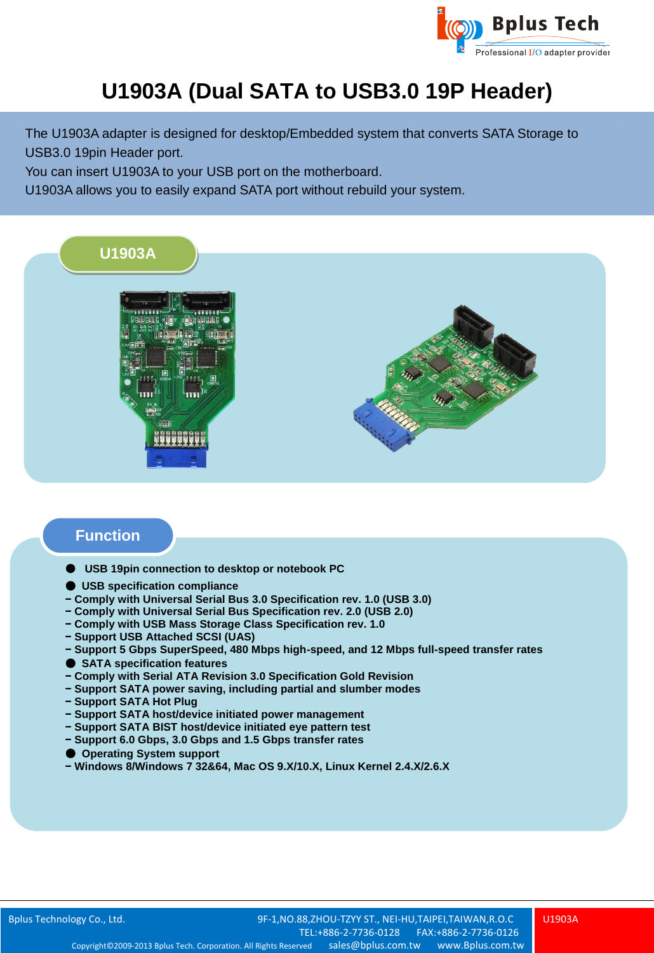

## **U1903A (Dual SATA to USB3.0 19P Header)**

The U1903A adapter is designed for desktop/Embedded system that converts SATA Storage to USB3.0 19pin Header port.

You can insert U1903A to your USB port on the motherboard.

U1903A allows you to easily expand SATA port without rebuild your system.



## **Function**

- **USB 19pin connection to desktop or notebook PC**
- **USB specification compliance**
- **− Comply with Universal Serial Bus 3.0 Specification rev. 1.0 (USB 3.0)**
- **− Comply with Universal Serial Bus Specification rev. 2.0 (USB 2.0)**
- **− Comply with USB Mass Storage Class Specification rev. 1.0**
- **− Support USB Attached SCSI (UAS)**
- **− Support 5 Gbps SuperSpeed, 480 Mbps high-speed, and 12 Mbps full-speed transfer rates**
- **SATA specification features**
- **− Comply with Serial ATA Revision 3.0 Specification Gold Revision**
- **− Support SATA power saving, including partial and slumber modes**
- **− Support SATA Hot Plug**
- **− Support SATA host/device initiated power management**
- **− Support SATA BIST host/device initiated eye pattern test**
- **− Support 6.0 Gbps, 3.0 Gbps and 1.5 Gbps transfer rates**
- **Operating System support**
- **− Windows 8/Windows 7 32&64, Mac OS 9.X/10.X, Linux Kernel 2.4.X/2.6.X**